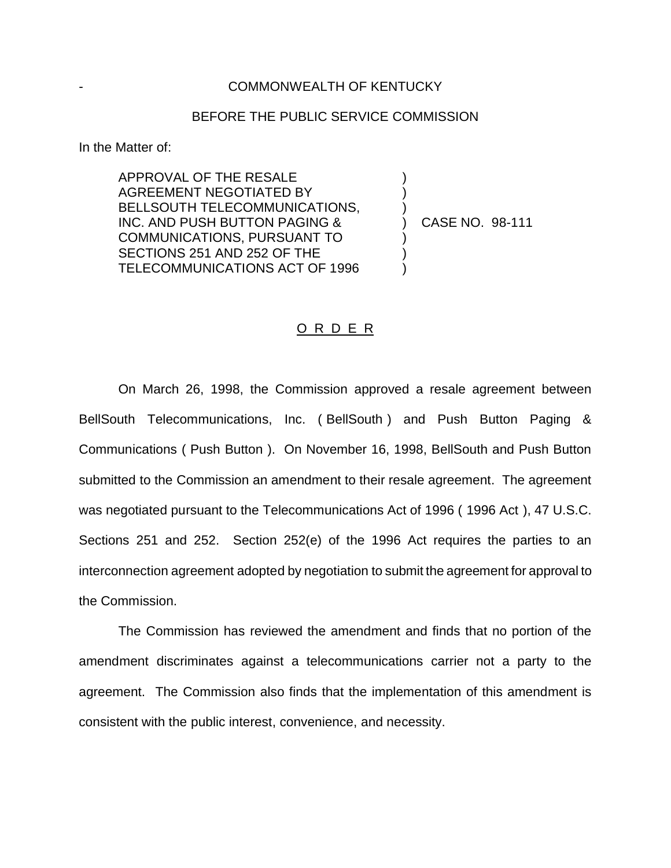## COMMONWEALTH OF KENTUCKY

## BEFORE THE PUBLIC SERVICE COMMISSION

) ) )

) ) )

In the Matter of:

APPROVAL OF THE RESALE AGREEMENT NEGOTIATED BY BELLSOUTH TELECOMMUNICATIONS, INC. AND PUSH BUTTON PAGING & COMMUNICATIONS, PURSUANT TO SECTIONS 251 AND 252 OF THE TELECOMMUNICATIONS ACT OF 1996

) CASE NO. 98-111

## O R D E R

On March 26, 1998, the Commission approved a resale agreement between BellSouth Telecommunications, Inc. ( BellSouth ) and Push Button Paging & Communications ( Push Button ). On November 16, 1998, BellSouth and Push Button submitted to the Commission an amendment to their resale agreement. The agreement was negotiated pursuant to the Telecommunications Act of 1996 ( 1996 Act ), 47 U.S.C. Sections 251 and 252. Section 252(e) of the 1996 Act requires the parties to an interconnection agreement adopted by negotiation to submit the agreement for approval to the Commission.

The Commission has reviewed the amendment and finds that no portion of the amendment discriminates against a telecommunications carrier not a party to the agreement. The Commission also finds that the implementation of this amendment is consistent with the public interest, convenience, and necessity.